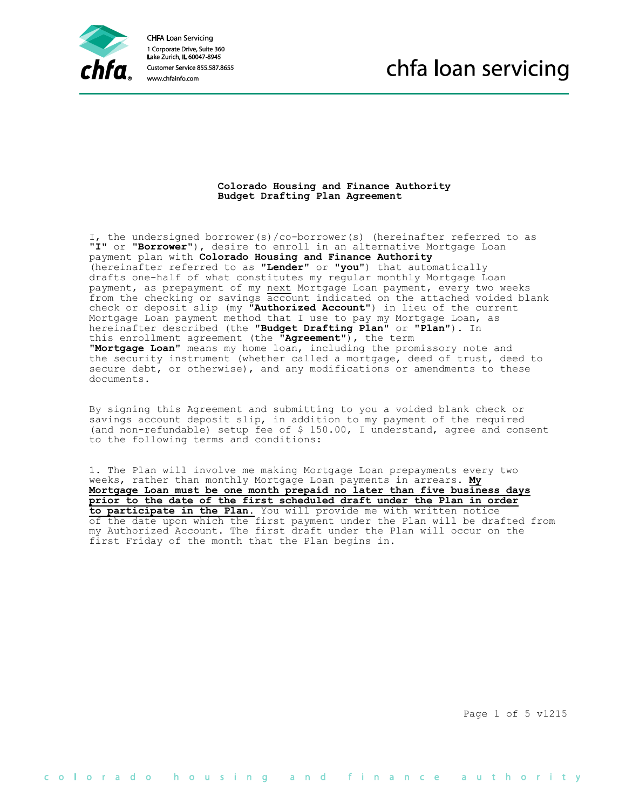

**CHFA Loan Servicing** 1 Corporate Drive, Suite 360 Lake Zurich, IL 60047-8945 www.chfainfo.com

## chfa loan servicing

## **Colorado Housing and Finance Authority Budget Drafting Plan Agreement**

 I, the undersigned borrower(s)/co-borrower(s) (hereinafter referred to as "**I**" or "**Borrower**"), desire to enroll in an alternative Mortgage Loan payment plan with **Colorado Housing and Finance Authority** (hereinafter referred to as "**Lender**" or "**you**") that automatically drafts one-half of what constitutes my regular monthly Mortgage Loan payment, as prepayment of my next Mortgage Loan payment, every two weeks from the checking or savings account indicated on the attached voided blank check or deposit slip (my "**Authorized Account**") in lieu of the current Mortgage Loan payment method that I use to pay my Mortgage Loan, as hereinafter described (the "**Budget Drafting Plan**" or "**Plan**"). In this enrollment agreement (the "**Agreement**"), the term "**Mortgage Loan**" means my home loan, including the promissory note and the security instrument (whether called a mortgage, deed of trust, deed to secure debt, or otherwise), and any modifications or amendments to these documents.

 By signing this Agreement and submitting to you a voided blank check or savings account deposit slip, in addition to my payment of the required (and non-refundable) setup fee of \$ 150.00, I understand, agree and consent to the following terms and conditions:

 1. The Plan will involve me making Mortgage Loan prepayments every two weeks, rather than monthly Mortgage Loan payments in arrears. **My Mortgage Loan must be one month prepaid no later than five business days prior to the date of the first scheduled draft under the Plan in order to participate in the Plan.** You will provide me with written notice of the date upon which the first payment under the Plan will be drafted from my Authorized Account. The first draft under the Plan will occur on the first Friday of the month that the Plan begins in.

Page 1 of 5 v1215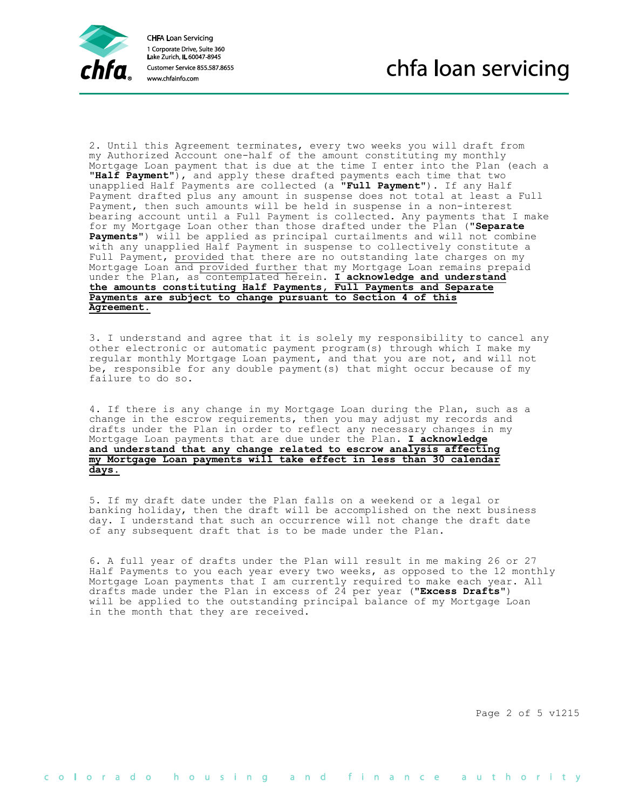

 2. Until this Agreement terminates, every two weeks you will draft from my Authorized Account one-half of the amount constituting my monthly Mortgage Loan payment that is due at the time I enter into the Plan (each a "**Half Payment**"), and apply these drafted payments each time that two unapplied Half Payments are collected (a "**Full Payment**"). If any Half Payment drafted plus any amount in suspense does not total at least a Full Payment, then such amounts will be held in suspense in a non-interest bearing account until a Full Payment is collected. Any payments that I make for my Mortgage Loan other than those drafted under the Plan ("**Separate Payments**") will be applied as principal curtailments and will not combine with any unapplied Half Payment in suspense to collectively constitute a Full Payment, provided that there are no outstanding late charges on my Mortgage Loan and provided further that my Mortgage Loan remains prepaid under the Plan, as contemplated herein. **I acknowledge and understand the amounts constituting Half Payments, Full Payments and Separate Payments are subject to change pursuant to Section 4 of this Agreement.**

 3. I understand and agree that it is solely my responsibility to cancel any other electronic or automatic payment program(s) through which I make my regular monthly Mortgage Loan payment, and that you are not, and will not be, responsible for any double payment(s) that might occur because of my failure to do so.

 4. If there is any change in my Mortgage Loan during the Plan, such as a change in the escrow requirements, then you may adjust my records and drafts under the Plan in order to reflect any necessary changes in my Mortgage Loan payments that are due under the Plan. **I acknowledge and understand that any change related to escrow analysis affecting my Mortgage Loan payments will take effect in less than 30 calendar days.**

 5. If my draft date under the Plan falls on a weekend or a legal or banking holiday, then the draft will be accomplished on the next business day. I understand that such an occurrence will not change the draft date of any subsequent draft that is to be made under the Plan.

 6. A full year of drafts under the Plan will result in me making 26 or 27 Half Payments to you each year every two weeks, as opposed to the 12 monthly Mortgage Loan payments that I am currently required to make each year. All drafts made under the Plan in excess of 24 per year ("**Excess Drafts**") will be applied to the outstanding principal balance of my Mortgage Loan in the month that they are received.

Page 2 of 5 v1215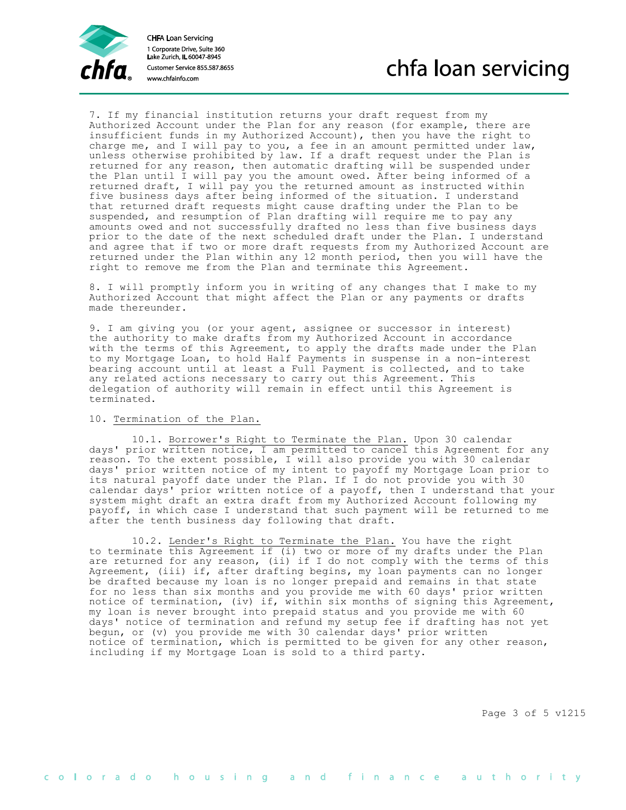

 7. If my financial institution returns your draft request from my Authorized Account under the Plan for any reason (for example, there are insufficient funds in my Authorized Account), then you have the right to charge me, and I will pay to you, a fee in an amount permitted under law, unless otherwise prohibited by law. If a draft request under the Plan is returned for any reason, then automatic drafting will be suspended under the Plan until I will pay you the amount owed. After being informed of a returned draft, I will pay you the returned amount as instructed within five business days after being informed of the situation. I understand that returned draft requests might cause drafting under the Plan to be suspended, and resumption of Plan drafting will require me to pay any amounts owed and not successfully drafted no less than five business days prior to the date of the next scheduled draft under the Plan. I understand and agree that if two or more draft requests from my Authorized Account are returned under the Plan within any 12 month period, then you will have the right to remove me from the Plan and terminate this Agreement.

 8. I will promptly inform you in writing of any changes that I make to my Authorized Account that might affect the Plan or any payments or drafts made thereunder.

 9. I am giving you (or your agent, assignee or successor in interest) the authority to make drafts from my Authorized Account in accordance with the terms of this Agreement, to apply the drafts made under the Plan to my Mortgage Loan, to hold Half Payments in suspense in a non-interest bearing account until at least a Full Payment is collected, and to take any related actions necessary to carry out this Agreement. This delegation of authority will remain in effect until this Agreement is terminated.

## 10. Termination of the Plan.

 10.1. Borrower's Right to Terminate the Plan. Upon 30 calendar days' prior written notice, I am permitted to cancel this Agreement for any reason. To the extent possible, I will also provide you with 30 calendar days' prior written notice of my intent to payoff my Mortgage Loan prior to its natural payoff date under the Plan. If I do not provide you with 30 calendar days' prior written notice of a payoff, then I understand that your system might draft an extra draft from my Authorized Account following my payoff, in which case I understand that such payment will be returned to me after the tenth business day following that draft.

 10.2. Lender's Right to Terminate the Plan. You have the right to terminate this Agreement if (i) two or more of my drafts under the Plan are returned for any reason, (ii) if I do not comply with the terms of this Agreement, (iii) if, after drafting begins, my loan payments can no longer be drafted because my loan is no longer prepaid and remains in that state for no less than six months and you provide me with 60 days' prior written notice of termination, (iv) if, within six months of signing this Agreement, my loan is never brought into prepaid status and you provide me with 60 days' notice of termination and refund my setup fee if drafting has not yet begun, or (v) you provide me with 30 calendar days' prior written notice of termination, which is permitted to be given for any other reason, including if my Mortgage Loan is sold to a third party.

Page 3 of 5 v1215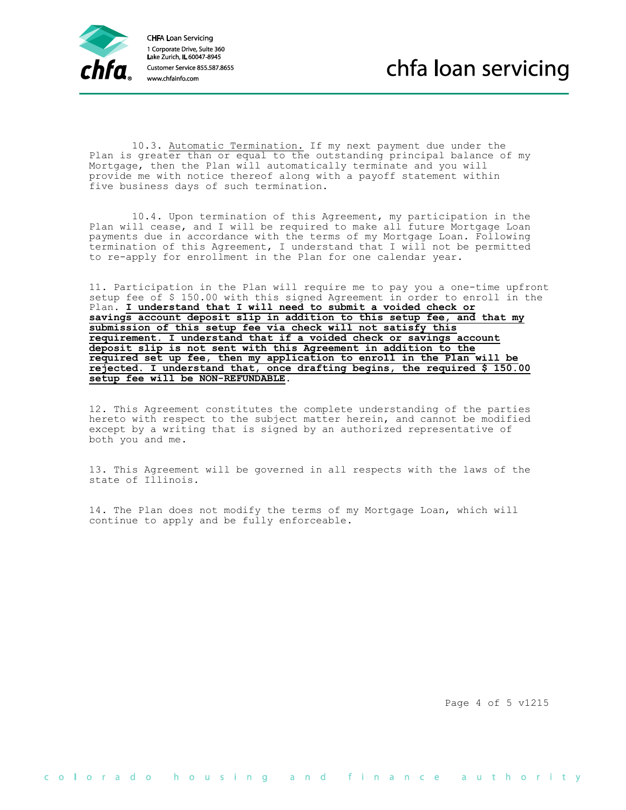

 10.3. Automatic Termination. If my next payment due under the Plan is greater than or equal to the outstanding principal balance of my Mortgage, then the Plan will automatically terminate and you will provide me with notice thereof along with a payoff statement within five business days of such termination.

 10.4. Upon termination of this Agreement, my participation in the Plan will cease, and I will be required to make all future Mortgage Loan payments due in accordance with the terms of my Mortgage Loan. Following termination of this Agreement, I understand that I will not be permitted to re-apply for enrollment in the Plan for one calendar year.

 11. Participation in the Plan will require me to pay you a one-time upfront setup fee of \$ 150.00 with this signed Agreement in order to enroll in the Plan. **I understand that I will need to submit a voided check or savings account deposit slip in addition to this setup fee, and that my submission of this setup fee via check will not satisfy this requirement. I understand that if a voided check or savings account deposit slip is not sent with this Agreement in addition to the required set up fee, then my application to enroll in the Plan will be rejected. I understand that, once drafting begins, the required \$ 150.00 setup fee will be NON-REFUNDABLE**.

 12. This Agreement constitutes the complete understanding of the parties hereto with respect to the subject matter herein, and cannot be modified except by a writing that is signed by an authorized representative of both you and me.

 13. This Agreement will be governed in all respects with the laws of the state of Illinois.

 14. The Plan does not modify the terms of my Mortgage Loan, which will continue to apply and be fully enforceable.

Page 4 of 5 v1215